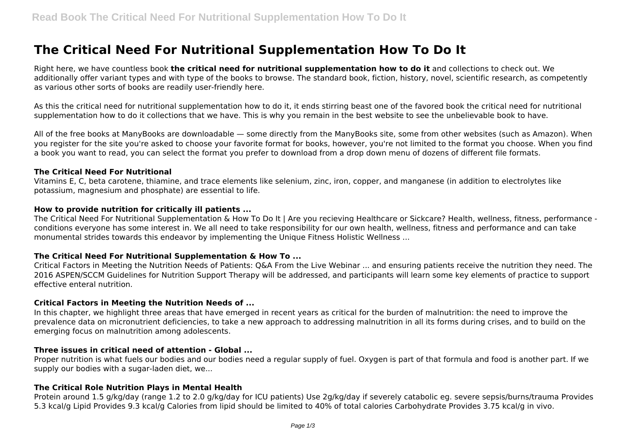# **The Critical Need For Nutritional Supplementation How To Do It**

Right here, we have countless book **the critical need for nutritional supplementation how to do it** and collections to check out. We additionally offer variant types and with type of the books to browse. The standard book, fiction, history, novel, scientific research, as competently as various other sorts of books are readily user-friendly here.

As this the critical need for nutritional supplementation how to do it, it ends stirring beast one of the favored book the critical need for nutritional supplementation how to do it collections that we have. This is why you remain in the best website to see the unbelievable book to have.

All of the free books at ManyBooks are downloadable — some directly from the ManyBooks site, some from other websites (such as Amazon). When you register for the site you're asked to choose your favorite format for books, however, you're not limited to the format you choose. When you find a book you want to read, you can select the format you prefer to download from a drop down menu of dozens of different file formats.

#### **The Critical Need For Nutritional**

Vitamins E, C, beta carotene, thiamine, and trace elements like selenium, zinc, iron, copper, and manganese (in addition to electrolytes like potassium, magnesium and phosphate) are essential to life.

## **How to provide nutrition for critically ill patients ...**

The Critical Need For Nutritional Supplementation & How To Do It | Are you recieving Healthcare or Sickcare? Health, wellness, fitness, performance conditions everyone has some interest in. We all need to take responsibility for our own health, wellness, fitness and performance and can take monumental strides towards this endeavor by implementing the Unique Fitness Holistic Wellness ...

## **The Critical Need For Nutritional Supplementation & How To ...**

Critical Factors in Meeting the Nutrition Needs of Patients: Q&A From the Live Webinar ... and ensuring patients receive the nutrition they need. The 2016 ASPEN/SCCM Guidelines for Nutrition Support Therapy will be addressed, and participants will learn some key elements of practice to support effective enteral nutrition.

## **Critical Factors in Meeting the Nutrition Needs of ...**

In this chapter, we highlight three areas that have emerged in recent years as critical for the burden of malnutrition: the need to improve the prevalence data on micronutrient deficiencies, to take a new approach to addressing malnutrition in all its forms during crises, and to build on the emerging focus on malnutrition among adolescents.

## **Three issues in critical need of attention - Global ...**

Proper nutrition is what fuels our bodies and our bodies need a regular supply of fuel. Oxygen is part of that formula and food is another part. If we supply our bodies with a sugar-laden diet, we...

## **The Critical Role Nutrition Plays in Mental Health**

Protein around 1.5 g/kg/day (range 1.2 to 2.0 g/kg/day for ICU patients) Use 2g/kg/day if severely catabolic eg. severe sepsis/burns/trauma Provides 5.3 kcal/g Lipid Provides 9.3 kcal/g Calories from lipid should be limited to 40% of total calories Carbohydrate Provides 3.75 kcal/g in vivo.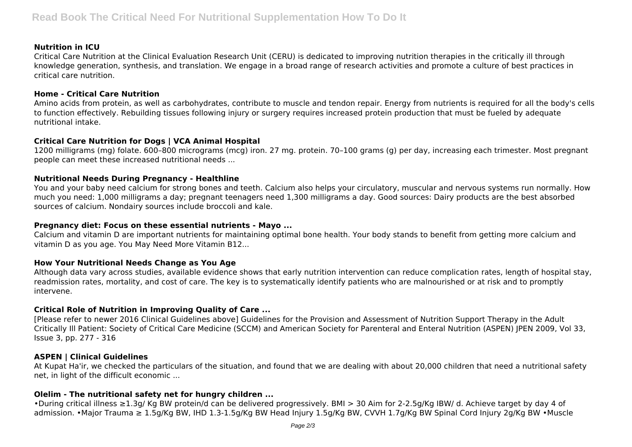## **Nutrition in ICU**

Critical Care Nutrition at the Clinical Evaluation Research Unit (CERU) is dedicated to improving nutrition therapies in the critically ill through knowledge generation, synthesis, and translation. We engage in a broad range of research activities and promote a culture of best practices in critical care nutrition.

## **Home - Critical Care Nutrition**

Amino acids from protein, as well as carbohydrates, contribute to muscle and tendon repair. Energy from nutrients is required for all the body's cells to function effectively. Rebuilding tissues following injury or surgery requires increased protein production that must be fueled by adequate nutritional intake.

# **Critical Care Nutrition for Dogs | VCA Animal Hospital**

1200 milligrams (mg) folate. 600–800 micrograms (mcg) iron. 27 mg. protein. 70–100 grams (g) per day, increasing each trimester. Most pregnant people can meet these increased nutritional needs ...

## **Nutritional Needs During Pregnancy - Healthline**

You and your baby need calcium for strong bones and teeth. Calcium also helps your circulatory, muscular and nervous systems run normally. How much you need: 1,000 milligrams a day; pregnant teenagers need 1,300 milligrams a day. Good sources: Dairy products are the best absorbed sources of calcium. Nondairy sources include broccoli and kale.

## **Pregnancy diet: Focus on these essential nutrients - Mayo ...**

Calcium and vitamin D are important nutrients for maintaining optimal bone health. Your body stands to benefit from getting more calcium and vitamin D as you age. You May Need More Vitamin B12...

## **How Your Nutritional Needs Change as You Age**

Although data vary across studies, available evidence shows that early nutrition intervention can reduce complication rates, length of hospital stay, readmission rates, mortality, and cost of care. The key is to systematically identify patients who are malnourished or at risk and to promptly intervene.

# **Critical Role of Nutrition in Improving Quality of Care ...**

[Please refer to newer 2016 Clinical Guidelines above] Guidelines for the Provision and Assessment of Nutrition Support Therapy in the Adult Critically Ill Patient: Society of Critical Care Medicine (SCCM) and American Society for Parenteral and Enteral Nutrition (ASPEN) JPEN 2009, Vol 33, Issue 3, pp. 277 - 316

# **ASPEN | Clinical Guidelines**

At Kupat Ha'ir, we checked the particulars of the situation, and found that we are dealing with about 20,000 children that need a nutritional safety net, in light of the difficult economic ...

# **Olelim - The nutritional safety net for hungry children ...**

•During critical illness ≥1.3g/ Kg BW protein/d can be delivered progressively. BMI > 30 Aim for 2-2.5g/Kg IBW/ d. Achieve target by day 4 of admission. •Major Trauma ≥ 1.5g/Kg BW, IHD 1.3-1.5g/Kg BW Head Injury 1.5g/Kg BW, CVVH 1.7g/Kg BW Spinal Cord Injury 2g/Kg BW •Muscle